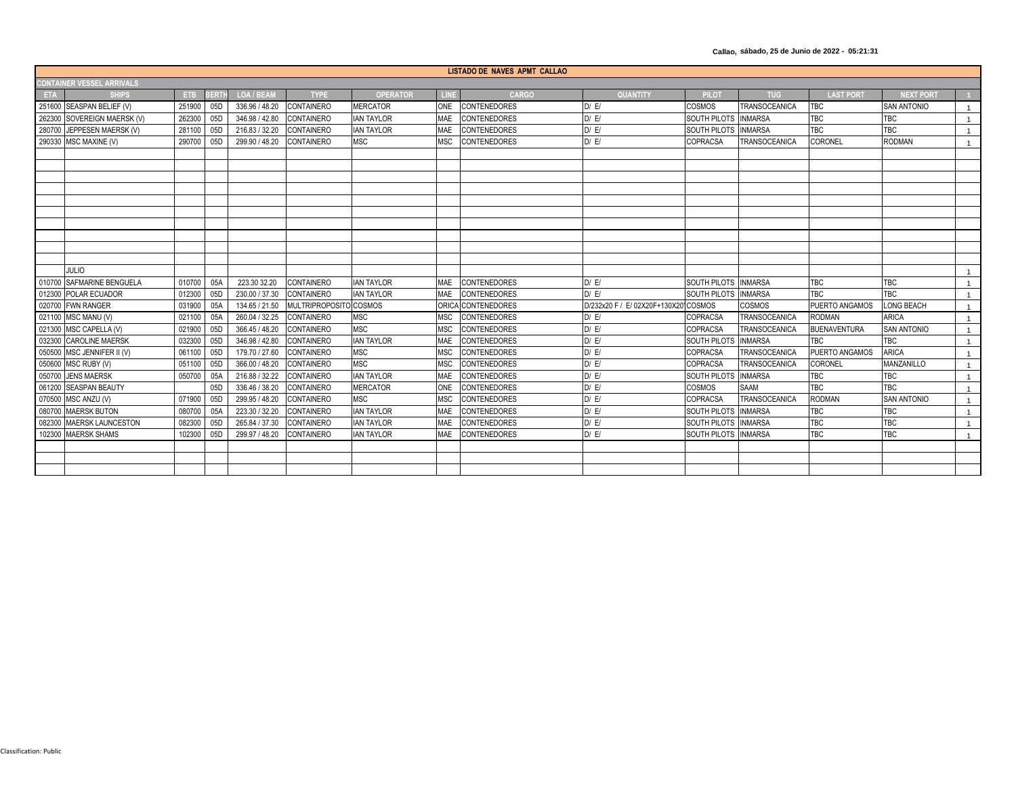**Callao, sábado, 25 de Junio de 2022 - 05:21:31**

| LISTADO DE NAVES APMT CALLAO     |                             |        |     |                   |                      |                   |            |                     |                               |                      |                      |                     |                    |                |
|----------------------------------|-----------------------------|--------|-----|-------------------|----------------------|-------------------|------------|---------------------|-------------------------------|----------------------|----------------------|---------------------|--------------------|----------------|
| <b>CONTAINER VESSEL ARRIVALS</b> |                             |        |     |                   |                      |                   |            |                     |                               |                      |                      |                     |                    |                |
| <b>ETA</b>                       | <b>SHIPS</b>                | ETB.   | ERT | <b>LOA / BEAM</b> | <b>TYPE</b>          | <b>OPERATOR</b>   |            | <b>CARGO</b>        | <b>QUANTITY</b>               | <b>PILOT</b>         | <b>TUG</b>           | <b>LAST PORT</b>    | <b>NEXT PORT</b>   |                |
|                                  | 251600 SEASPAN BELIEF (V)   | 251900 | 05D | 336.96 / 48.20    | <b>CONTAINERO</b>    | <b>MERCATOR</b>   | <b>ONE</b> | <b>CONTENEDORES</b> | D/E/                          | <b>COSMOS</b>        | TRANSOCEANICA        | TBC                 | <b>SAN ANTONIO</b> |                |
|                                  | 262300 SOVEREIGN MAERSK (V) | 262300 | 05D | 346.98 / 42.80    | <b>CONTAINERO</b>    | <b>IAN TAYLOR</b> | <b>MAE</b> | CONTENEDORES        | D/E/                          | SOUTH PILOTS INMARSA |                      | TBC                 | <b>TBC</b>         | $\overline{1}$ |
|                                  | 280700 JEPPESEN MAERSK (V)  | 281100 | 05D | 216.83 / 32.20    | <b>CONTAINERO</b>    | <b>IAN TAYLOR</b> | MAE        | <b>CONTENEDORES</b> | D / E/                        | SOUTH PILOTS         | <b>INMARSA</b>       | <b>TBC</b>          | <b>TBC</b>         | $\overline{1}$ |
|                                  | 290330 MSC MAXINE (V)       | 290700 | 05D | 299.90 / 48.20    | CONTAINERO           | <b>MSC</b>        | <b>MSC</b> | <b>CONTENEDORES</b> | D / E/                        | COPRACSA             | TRANSOCEANICA        | CORONEL             | <b>RODMAN</b>      | $\overline{1}$ |
|                                  |                             |        |     |                   |                      |                   |            |                     |                               |                      |                      |                     |                    |                |
|                                  |                             |        |     |                   |                      |                   |            |                     |                               |                      |                      |                     |                    |                |
|                                  |                             |        |     |                   |                      |                   |            |                     |                               |                      |                      |                     |                    |                |
|                                  |                             |        |     |                   |                      |                   |            |                     |                               |                      |                      |                     |                    |                |
|                                  |                             |        |     |                   |                      |                   |            |                     |                               |                      |                      |                     |                    |                |
|                                  |                             |        |     |                   |                      |                   |            |                     |                               |                      |                      |                     |                    |                |
|                                  |                             |        |     |                   |                      |                   |            |                     |                               |                      |                      |                     |                    |                |
|                                  |                             |        |     |                   |                      |                   |            |                     |                               |                      |                      |                     |                    |                |
|                                  |                             |        |     |                   |                      |                   |            |                     |                               |                      |                      |                     |                    |                |
|                                  |                             |        |     |                   |                      |                   |            |                     |                               |                      |                      |                     |                    |                |
|                                  | <b>JULIO</b>                |        |     |                   |                      |                   |            |                     |                               |                      |                      |                     |                    | - 1            |
|                                  | 010700 SAFMARINE BENGUELA   | 010700 | 05A | 223.30 32.20      | <b>CONTAINERO</b>    | <b>IAN TAYLOR</b> | MAF        | CONTENEDORES        | D/EI                          | SOUTH PILOTS INMARSA |                      | <b>TBC</b>          | <b>TBC</b>         |                |
| 012300                           | POLAR ECUADOR               | 012300 | 05D | 230.00 / 37.30    | <b>CONTAINERO</b>    | <b>IAN TAYLOR</b> | <b>MAE</b> | CONTENEDORES        | D/E/                          | <b>SOUTH PILOTS</b>  | <b>INMARSA</b>       | <b>TBC</b>          | TBC                | $\overline{1}$ |
|                                  | 020700 FWN RANGER           | 031900 | 05A | 134.65 / 21.50    | <b>MULTRIPROPOSI</b> | <b>COSMOS</b>     |            | ORICA CONTENEDORES  | D/232x20 F / E/ 02X20F+130X20 | <b>COSMOS</b>        | COSMOS               | PUERTO ANGAMOS      | <b>LONG BEACH</b>  | $\overline{1}$ |
|                                  | 021100 MSC MANU (V)         | 021100 | 05A | 260.04 / 32.25    | <b>CONTAINERO</b>    | <b>MSC</b>        | <b>MSC</b> | CONTENEDORES        | D/E/                          | COPRACSA             | TRANSOCEANICA        | <b>RODMAN</b>       | <b>ARICA</b>       | $\overline{1}$ |
|                                  | 021300 MSC CAPELLA (V)      | 021900 | 05D | 366.45 / 48.20    | <b>CONTAINERO</b>    | <b>MSC</b>        | <b>MSC</b> | CONTENEDORES        | D/E/                          | COPRACSA             | TRANSOCEANICA        | <b>BUENAVENTURA</b> | <b>SAN ANTONIO</b> |                |
| 032300                           | <b>CAROLINE MAERSK</b>      | 032300 | 05D | 346.98 / 42.80    | <b>CONTAINERO</b>    | <b>IAN TAYLOR</b> | <b>MAE</b> | <b>CONTENEDORES</b> | $DI$ E/                       | <b>SOUTH PILOTS</b>  | <b>INMARSA</b>       | <b>TBC</b>          | <b>TBC</b>         |                |
| 050500                           | MSC JENNIFER II (V)         | 061100 | 05D | 179.70 / 27.60    | CONTAINERO           | <b>MSC</b>        | <b>MSC</b> | CONTENEDORES        | D / E/                        | COPRACSA             | TRANSOCEANICA        | PUERTO ANGAMOS      | <b>ARICA</b>       |                |
|                                  | 050600 MSC RUBY (V)         | 051100 | 05D | 366.00 / 48.20    | <b>CONTAINERO</b>    | <b>MSC</b>        | <b>MSC</b> | <b>CONTENEDORES</b> | D/E/                          | COPRACSA             | TRANSOCEANICA        | CORONEL             | MANZANILLO         |                |
|                                  | 050700 JENS MAERSK          | 050700 | 05A | 216.88 / 32.22    | CONTAINERO           | <b>IAN TAYLOR</b> | MAE        | <b>CONTENEDORES</b> | D/E/                          | <b>SOUTH PILOTS</b>  | <b>INMARSA</b>       | <b>TBC</b>          | <b>TBC</b>         | $\overline{1}$ |
|                                  | 061200 SEASPAN BEAUTY       |        | 05D | 336.46 / 38.20    | <b>CONTAINERO</b>    | <b>MERCATOR</b>   | <b>ONE</b> | <b>CONTENEDORES</b> | D/E/                          | COSMOS               | <b>SAAM</b>          | <b>TBC</b>          | <b>TBC</b>         |                |
|                                  | 070500 MSC ANZU (V)         | 071900 | 05D | 299.95 / 48.20    | CONTAINERO           | <b>MSC</b>        | <b>MSC</b> | CONTENEDORES        | D/E/                          | <b>COPRACSA</b>      | <b>TRANSOCEANICA</b> | <b>RODMAN</b>       | <b>SAN ANTONIO</b> | $\overline{1}$ |
|                                  | 080700 MAERSK BUTON         | 080700 | 05A | 223.30 / 32.20    | <b>CONTAINERO</b>    | <b>IAN TAYLOR</b> | <b>MAE</b> | CONTENEDORES        | D / E/                        | SOUTH PILOTS         | <b>INMARSA</b>       | <b>TBC</b>          | TBC                | $\overline{1}$ |
|                                  | 082300 MAERSK LAUNCESTON    | 082300 | 05D | 265.84 / 37.30    | CONTAINERO           | <b>IAN TAYLOR</b> | MAE        | CONTENEDORES        | D / E/                        | <b>SOUTH PILOTS</b>  | <b>INMARSA</b>       | <b>TBC</b>          | TBC                | $\overline{1}$ |
|                                  | 102300 MAERSK SHAMS         | 102300 | 05D | 299.97 / 48.20    | <b>CONTAINERO</b>    | <b>IAN TAYLOR</b> | <b>MAE</b> | CONTENEDORES        | D / E/                        | SOUTH PILOTS INMARSA |                      | <b>TBC</b>          | <b>TBC</b>         | $\overline{1}$ |
|                                  |                             |        |     |                   |                      |                   |            |                     |                               |                      |                      |                     |                    |                |
|                                  |                             |        |     |                   |                      |                   |            |                     |                               |                      |                      |                     |                    |                |
|                                  |                             |        |     |                   |                      |                   |            |                     |                               |                      |                      |                     |                    |                |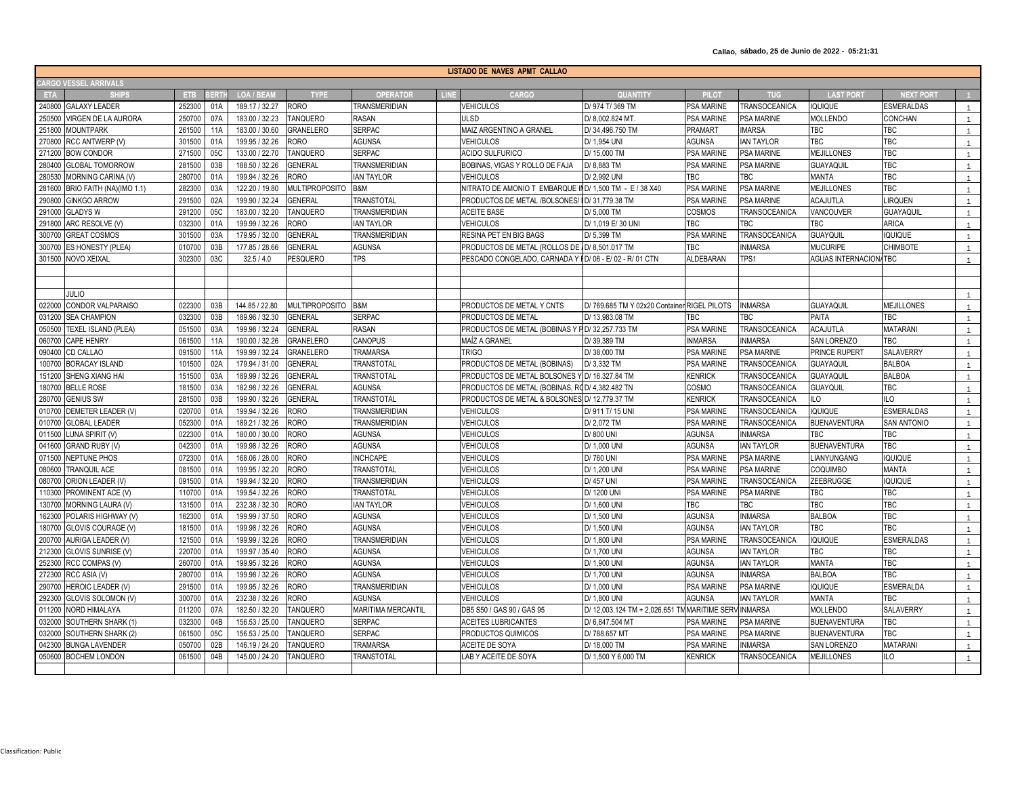**Callao, sábado, 25 de Junio de 2022 - 05:21:31**

| LISTADO DE NAVES APMT CALLAO |                            |            |            |                   |                       |                           |             |                                                          |                                               |                   |                      |                              |                   |                |
|------------------------------|----------------------------|------------|------------|-------------------|-----------------------|---------------------------|-------------|----------------------------------------------------------|-----------------------------------------------|-------------------|----------------------|------------------------------|-------------------|----------------|
| <b>CARGO VESSEL ARRIVALS</b> |                            |            |            |                   |                       |                           |             |                                                          |                                               |                   |                      |                              |                   |                |
| <b>ETA</b>                   | <b>SHIPS</b>               | <b>ETB</b> | <b>ERT</b> | <b>LOA / BEAN</b> | <b>TYPE</b>           | <b>OPERATOR</b>           | <b>LINE</b> | CARGO                                                    | <b>QUANTITY</b>                               | <b>PILOT</b>      | <b>TUG</b>           | <b>LAST PORT</b>             | <b>NEXT PORT</b>  |                |
|                              | 240800 GALAXY LEADER       | 252300     | 01A        | 189.17 / 32.27    | <b>RORO</b>           | <b>TRANSMERIDIAN</b>      |             | <b>VEHICULOS</b>                                         | D/ 974 T/ 369 TM                              | <b>PSA MARINE</b> | TRANSOCEANICA        | <b>IQUIQUE</b>               | <b>ESMERALDAS</b> | $\overline{1}$ |
| 250500                       | VIRGEN DE LA AURORA        | 250700     | 07A        | 183.00 / 32.23    | <b>TANQUERO</b>       | <b>RASAN</b>              |             | ULSD                                                     | D/8.002.824 MT.                               | <b>PSA MARINE</b> | <b>PSA MARINE</b>    | <b>MOLLENDO</b>              | CONCHAN           |                |
|                              | 251800 MOUNTPARK           | 261500     | 11A        | 183.00 / 30.60    | <b>GRANELERO</b>      | <b>SERPAC</b>             |             | MAIZ ARGENTINO A GRANEL                                  | D/34,496.750 TM                               | PRAMART           | <b>IMARSA</b>        | TBC                          | TBC               | $\overline{1}$ |
| 270800                       | RCC ANTWERP (V)            | 301500     | 01A        | 199.95 / 32.26    | <b>RORO</b>           | <b>AGUNSA</b>             |             | <b>VEHICULOS</b>                                         | D/ 1,954 UNI                                  | <b>AGUNSA</b>     | <b>IAN TAYLOR</b>    | TBC                          | <b>TBC</b>        | $\overline{1}$ |
|                              | 271200 BOW CONDOR          | 271500     | 05C        | 133.00 / 22.70    | <b>TANQUERO</b>       | <b>SERPAC</b>             |             | <b>ACIDO SULFURICO</b>                                   | D/ 15,000 TM                                  | <b>PSA MARINE</b> | <b>PSA MARINE</b>    | <b>MEJILLONES</b>            | TBC               | $\overline{1}$ |
| 280400                       | <b>GLOBAL TOMORROW</b>     | 281500     | 03B        | 188.50 / 32.26    | <b>GENERAL</b>        | <b>TRANSMERIDIAN</b>      |             | BOBINAS, VIGAS Y ROLLO DE FAJA                           | D/8,883 TM                                    | <b>PSA MARINE</b> | <b>PSA MARINE</b>    | GUAYAQUII                    | <b>TBC</b>        |                |
| 280530                       | MORNING CARINA (V)         | 280700     | 01A        | 199.94 / 32.26    | <b>RORO</b>           | <b>IAN TAYLOR</b>         |             | <b>VEHICULOS</b>                                         | D/ 2.992 UNI                                  | TBC               | <b>TBC</b>           | <b>MANTA</b>                 | <b>TBC</b>        | $\overline{1}$ |
| 281600                       | BRIO FAITH (NA)(IMO 1.1)   | 28230      | 03A        | 122.20 / 19.80    | <b>MULTIPROPOSITO</b> | B&M                       |             | NITRATO DE AMONIO TEMBARQUE IND/1,500 TM - E / 38 X40    |                                               | PSA MARINE        | <b>PSA MARINE</b>    | <b>MEJILLONES</b>            | TBC               | $\overline{1}$ |
| 290800                       | <b>GINKGO ARROW</b>        | 291500     | 02A        | 199.90 / 32.24    | <b>GENERAL</b>        | TRANSTOTAL                |             | PRODUCTOS DE METAL /BOLSONES/                            | D/31.779.38 TM                                | <b>PSA MARINE</b> | <b>PSA MARINE</b>    | <b>ACAJUTLA</b>              | <b>IRQUEN</b>     | $\overline{1}$ |
|                              | 291000 GLADYS W            | 291200     | 05C        | 183.00 / 32.20    | <b>TANQUERO</b>       | <b>TRANSMERIDIAN</b>      |             | <b>ACEITE BASE</b>                                       | D/ 5,000 TM                                   | COSMOS            | TRANSOCEANICA        | VANCOUVER                    | <b>GUAYAQUIL</b>  | $\overline{1}$ |
|                              | 291800 ARC RESOLVE (V)     | 032300     | 01A        | 199.99 / 32.26    | <b>RORO</b>           | <b>IAN TAYLOR</b>         |             | <b>VEHICULOS</b>                                         | D/ 1,019 E/ 30 UNI                            | TBC               | TBC                  | TBC                          | <b>ARICA</b>      | $\overline{1}$ |
|                              | 300700 GREAT COSMOS        | 301500     | 03A        | 179.95 / 32.00    | <b>GENERAL</b>        | <b>TRANSMERIDIAN</b>      |             | <b>RESINA PET EN BIG BAGS</b>                            | D/ 5.399 TM                                   | PSA MARINE        | <b>TRANSOCEANICA</b> | <b>GUAYQUIL</b>              | QUIQUE            | $\overline{1}$ |
| 300700                       | <b>ES HONESTY (PLEA)</b>   | 010700     | 03B        | 177.85 / 28.66    | <b>GENERAL</b>        | <b>AGUNSA</b>             |             | PRODUCTOS DE METAL (ROLLOS DE /D/ 8,501.017 TM           |                                               | TBC               | <b>INMARSA</b>       | <b>MUCURIPE</b>              | <b>CHIMBOTE</b>   |                |
|                              | 301500 NOVO XEIXAL         | 302300     | 03C        | 32.5/4.0          | <b>PESQUERO</b>       | <b>TPS</b>                |             | PESCADO CONGELADO, CARNADA Y I D/ 06 - E/ 02 - R/ 01 CTN |                                               | <b>ALDEBARAN</b>  | TPS1                 | <b>AGUAS INTERNACION/TBC</b> |                   | $\overline{1}$ |
|                              |                            |            |            |                   |                       |                           |             |                                                          |                                               |                   |                      |                              |                   |                |
|                              |                            |            |            |                   |                       |                           |             |                                                          |                                               |                   |                      |                              |                   |                |
|                              | JULIO                      |            |            |                   |                       |                           |             |                                                          |                                               |                   |                      |                              |                   |                |
|                              | 022000 CONDOR VALPARAISO   | 022300     | 03B        | 144.85 / 22.80    | MULTIPROPOSITO B&M    |                           |             | PRODUCTOS DE METAL Y CNTS                                | D/ 769.685 TM Y 02x20 Container RIGEL PILOTS  |                   | <b>INMARSA</b>       | <b>GUAYAQUIL</b>             | <b>MEJILLONES</b> | $\overline{1}$ |
|                              | 031200 SEA CHAMPION        | 032300     | 03B        | 189.96 / 32.30    | <b>GENERAL</b>        | <b>SERPAC</b>             |             | PRODUCTOS DE METAL                                       | D/ 13.983.08 TM                               | TBC               | <b>TBC</b>           | PAITA                        | TBC               | $\overline{1}$ |
| 050500                       | <b>TEXEL ISLAND (PLEA)</b> | 051500     | 03A        | 199.98 / 32.24    | <b>GENERAL</b>        | <b>RASAN</b>              |             | PRODUCTOS DE METAL (BOBINAS Y PD/32,257.733 TM           |                                               | <b>PSA MARINE</b> | TRANSOCEANICA        | ACAJUTLA                     | MATARANI          |                |
|                              | 060700 CAPE HENRY          | 061500     | 11A        | 190.00 / 32.26    | <b>GRANELERO</b>      | CANOPUS                   |             | MAÍZ A GRANEL                                            | D/39,389 TM                                   | <b>INMARSA</b>    | <b>INMARSA</b>       | SAN LORENZO                  | TBC               |                |
|                              | 090400 CD CALLAO           | 091500     | <b>11A</b> | 199.99 / 32.24    | <b>GRANELERO</b>      | <b>TRAMARSA</b>           |             | <b>TRIGO</b>                                             | D/38,000 TM                                   | <b>PSA MARINE</b> | <b>PSA MARINE</b>    | <b>PRINCE RUPERT</b>         | SALAVERRY         | $\overline{1}$ |
| 100700                       | <b>BORACAY ISLAND</b>      | 10150      | 02A        | 179.94 / 31.00    | <b>GENERAL</b>        | <b>TRANSTOTAL</b>         |             | PRODUCTOS DE METAL (BOBINAS)                             | D/ 3,332 TM                                   | PSA MARINE        | TRANSOCEANICA        | <b>GUAYAQUI</b>              | <b>BALBOA</b>     | $\overline{1}$ |
| 151200                       | <b>SHENG XIANG HAI</b>     | 151500     | 03A        | 189.99 / 32.26    | <b>GENERAL</b>        | <b><i>TRANSTOTAL</i></b>  |             | PRODUCTOS DE METAL BOLSONES Y D/ 16.327.84 TM            |                                               | <b>KENRICK</b>    | TRANSOCEANICA        | <b>GUAYAQUIL</b>             | <b>BALBOA</b>     |                |
| 180700                       | <b>BELLE ROSE</b>          | 181500     | 03A        | 182.98 / 32.26    | <b>GENERAL</b>        | <b>AGUNSA</b>             |             | PRODUCTOS DE METAL (BOBINAS, ROD/ 4,382.482 TN           |                                               | COSMO             | TRANSOCEANICA        | <b>GUAYQUIL</b>              | TBC               | $\overline{1}$ |
|                              | 280700 GENIUS SW           | 281500     | 03B        | 199.90 / 32.26    | <b>GENERAL</b>        | TRANSTOTAL                |             | PRODUCTOS DE METAL & BOLSONES D/ 12,779.37 TM            |                                               | <b>KENRICK</b>    | TRANSOCEANICA        | ILO                          | LO                | $\overline{1}$ |
| 010700                       | DEMETER LEADER (V)         | 020700     | 01A        | 199.94 / 32.26    | <b>RORO</b>           | TRANSMERIDIAN             |             | VEHICULOS                                                | D/911 T/15 UNI                                | <b>PSA MARINE</b> | TRANSOCEANICA        | <b>IQUIQUE</b>               | ESMERALDAS        |                |
| 010700                       | <b>GLOBAL LEADER</b>       | 052300     | 01A        | 189.21 / 32.26    | <b>RORO</b>           | TRANSMERIDIAN             |             | <b>VEHICULOS</b>                                         | D/ 2.072 TM                                   | <b>PSA MARINE</b> | TRANSOCEANICA        | <b>BUENAVENTURA</b>          | SAN ANTONIO       |                |
| 011500                       | LUNA SPIRIT (V)            | 022300     | 01A        | 180.00 / 30.00    | <b>RORO</b>           | <b>AGUNSA</b>             |             | <b>VEHICULOS</b>                                         | D/800 UNI                                     | <b>AGUNSA</b>     | <b>INMARSA</b>       | <b>TBC</b>                   | <b>TBC</b>        | $\overline{1}$ |
| 041600                       | GRAND RUBY (V)             | 04230      | 01A        | 199.98 / 32.26    | <b>RORO</b>           | <b>AGUNSA</b>             |             | <b>VEHICULOS</b>                                         | D/ 1,000 UN                                   | <b>AGUNSA</b>     | <b>IAN TAYLOR</b>    | <b>BUENAVENTURA</b>          | TBC               | $\overline{1}$ |
| 071500                       | <b>NEPTUNE PHOS</b>        | 072300     | 01A        | 168.06 / 28.00    | <b>RORO</b>           | <b>INCHCAPE</b>           |             | <b>VEHICULOS</b>                                         | D/760 UNI                                     | <b>PSA MARINE</b> | <b>PSA MARINE</b>    | LIANYUNGANG                  | <b>IQUIQUE</b>    | $\overline{1}$ |
| 080600                       | TRANQUIL ACE               | 081500     | 01A        | 199.95 / 32.20    | <b>RORO</b>           | <b>TRANSTOTAL</b>         |             | <b>VEHICULOS</b>                                         | D/ 1.200 UN                                   | <b>PSA MARINE</b> | <b>PSA MARINE</b>    | COQUIMBO                     | <b>MANTA</b>      | $\overline{1}$ |
|                              | 080700 ORION LEADER (V)    | 091500     | 01A        | 199.94 / 32.20    | <b>RORO</b>           | <b>TRANSMERIDIAN</b>      |             | <b>VEHICULOS</b>                                         | D/ 457 UNI                                    | PSA MARINE        | TRANSOCEANICA        | ZEEBRUGGE                    | <b>IQUIQUE</b>    | $\overline{1}$ |
|                              | 110300 PROMINENT ACE (V)   | 110700     | 01A        | 199.54 / 32.26    | <b>RORO</b>           | <b>TRANSTOTAL</b>         |             | <b>VEHICULOS</b>                                         | D/ 1200 UNI                                   | <b>PSA MARINE</b> | <b>PSA MARINE</b>    | <b>TBC</b>                   | <b>TBC</b>        | $\overline{1}$ |
|                              | 130700 MORNING LAURA (V)   | 131500     | 01A        | 232.38 / 32.30    | <b>RORO</b>           | <b>IAN TAYLOR</b>         |             | <b>VEHICULOS</b>                                         | D/ 1.600 UNI                                  | TBC               | <b>TBC</b>           | <b>TBC</b>                   | <b>TBC</b>        |                |
| 162300                       | POLARIS HIGHWAY (V         | 162300     | 01A        | 199.99 / 37.50    | <b>RORO</b>           | <b>AGUNSA</b>             |             | <b>VEHICULOS</b>                                         | D/ 1,500 UNI                                  | <b>AGUNSA</b>     | <b>INMARSA</b>       | <b>BALBOA</b>                | <b>TBC</b>        |                |
| 180700                       | GLOVIS COURAGE (V)         | 181500     | 01A        | 199.98 / 32.26    | <b>RORO</b>           | <b>AGUNSA</b>             |             | <b>VEHICULOS</b>                                         | D/ 1,500 UNI                                  | <b>AGUNSA</b>     | <b>IAN TAYLOR</b>    | TBC                          | <b>TBC</b>        | $\overline{1}$ |
| 200700                       | AURIGA LEADER (V)          | 121500     | 01A        | 199.99 / 32.26    | <b>RORO</b>           | TRANSMERIDIAN             |             | <b>VEHICULOS</b>                                         | D/ 1,800 UNI                                  | PSA MARINE        | TRANSOCEANICA        | <b>IQUIQUE</b>               | ESMERALDAS        | $\overline{1}$ |
| 212300                       | GLOVIS SUNRISE (V)         | 220700     | 01A        | 199.97 / 35.40    | <b>RORO</b>           | <b>AGUNSA</b>             |             | <b>VEHICULOS</b>                                         | D/ 1,700 UNI                                  | <b>AGUNSA</b>     | <b>IAN TAYLOR</b>    | TBC                          | <b>TBC</b>        | $\overline{1}$ |
|                              | 252300 RCC COMPAS (V)      | 260700     | 01A        | 199.95 / 32.26    | <b>RORO</b>           | <b>AGUNSA</b>             |             | <b>VEHICULOS</b>                                         | D/ 1.900 UNI                                  | <b>AGUNSA</b>     | <b>IAN TAYLOR</b>    | <b>MANTA</b>                 | <b>TBC</b>        | $\overline{1}$ |
|                              | 272300 RCC ASIA (V)        | 280700     | 01A        | 199.98 / 32.26    | <b>RORO</b>           | <b>AGUNSA</b>             |             | <b>VEHICULOS</b>                                         | D/ 1,700 UNI                                  | <b>AGUNSA</b>     | <b>INMARSA</b>       | <b>BALBOA</b>                | <b>TBC</b>        | $\mathbf{1}$   |
|                              | 290700 HEROIC LEADER (V)   | 291500     | 01A        | 199.95 / 32.26    | <b>RORO</b>           | <b>TRANSMERIDIAN</b>      |             | <b>VEHICULOS</b>                                         | D/ 1.000 UNI                                  | <b>PSA MARINE</b> | <b>PSA MARINE</b>    | <b>IQUIQUE</b>               | ESMERALDA         |                |
| 292300                       | <b>GLOVIS SOLOMON (V</b>   | 300700     | 01A        | 232.38 / 32.26    | <b>RORO</b>           | <b>AGUNSA</b>             |             | VEHICULOS                                                | D/ 1,800 UNI                                  | AGUNSA            | <b>IAN TAYLOR</b>    | <b>MANTA</b>                 | <b>TBC</b>        |                |
|                              | 011200 NORD HIMALAYA       | 011200     | 07A        | 182.50 / 32.20    | <b>TANQUERO</b>       | <b>MARITIMA MERCANTIL</b> |             | DB5 S50 / GAS 90 / GAS 95                                | D/ 12,003.124 TM + 2,026.651 TM MARITIME SERY |                   | <b>INMARSA</b>       | <b>MOLLENDO</b>              | SALAVERRY         | $\overline{1}$ |
| 032000                       | SOUTHERN SHARK (1)         | 03230      | 04B        | 156.53 / 25.00    | <b>TANQUERO</b>       | <b>SERPAC</b>             |             | <b>ACEITES LUBRICANTES</b>                               | D/ 6,847.504 MT                               | <b>PSA MARINE</b> | <b>PSA MARINE</b>    | <b>BUENAVENTURA</b>          | <b>TBC</b>        | $\overline{1}$ |
| 032000                       | SOUTHERN SHARK (2)         | 061500     | 05C        | 156.53 / 25.00    | <b>TANQUERO</b>       | <b>SERPAC</b>             |             | PRODUCTOS QUIMICOS                                       | D/788.657 MT                                  | PSA MARINE        | PSA MARINE           | <b>BUENAVENTURA</b>          | TBC               | $\overline{1}$ |
|                              | 042300 BUNGA LAVENDER      | 05070      | 02B        | 146.19 / 24.20    | <b>TANQUERO</b>       | TRAMARSA                  |             | <b>ACEITE DE SOYA</b>                                    | D/ 18,000 TM                                  | <b>PSA MARINE</b> | <b>INMARSA</b>       | SAN LORENZO                  | <b>MATARANI</b>   | $\overline{1}$ |
|                              | 050600 BOCHEM LONDON       | 061500     | 04B        | 145.00 / 24.20    | <b>TANQUERO</b>       | <b>TRANSTOTAL</b>         |             | LAB Y ACEITE DE SOYA                                     | D/ 1,500 Y 6,000 TM                           | <b>KENRICK</b>    | TRANSOCEANICA        | <b>MEJILLONES</b>            | ILO               | $\overline{1}$ |
|                              |                            |            |            |                   |                       |                           |             |                                                          |                                               |                   |                      |                              |                   |                |